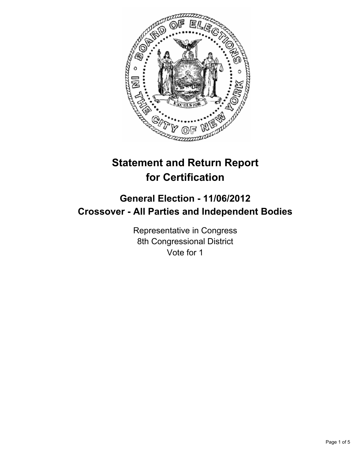

# **Statement and Return Report for Certification**

## **General Election - 11/06/2012 Crossover - All Parties and Independent Bodies**

Representative in Congress 8th Congressional District Vote for 1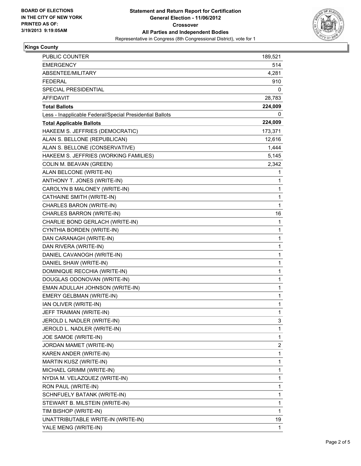

### **Kings County**

| PUBLIC COUNTER                                           | 189,521      |
|----------------------------------------------------------|--------------|
| <b>EMERGENCY</b>                                         | 514          |
| ABSENTEE/MILITARY                                        | 4,281        |
| <b>FEDERAL</b>                                           | 910          |
| SPECIAL PRESIDENTIAL                                     | 0            |
| AFFIDAVIT                                                | 28,783       |
| <b>Total Ballots</b>                                     | 224,009      |
| Less - Inapplicable Federal/Special Presidential Ballots | 0            |
| <b>Total Applicable Ballots</b>                          | 224,009      |
| HAKEEM S. JEFFRIES (DEMOCRATIC)                          | 173,371      |
| ALAN S. BELLONE (REPUBLICAN)                             | 12,616       |
| ALAN S. BELLONE (CONSERVATIVE)                           | 1,444        |
| HAKEEM S. JEFFRIES (WORKING FAMILIES)                    | 5,145        |
| COLIN M. BEAVAN (GREEN)                                  | 2,342        |
| ALAN BELCONE (WRITE-IN)                                  | 1            |
| ANTHONY T. JONES (WRITE-IN)                              | 1            |
| CAROLYN B MALONEY (WRITE-IN)                             | 1            |
| CATHAINE SMITH (WRITE-IN)                                | 1            |
| CHARLES BARON (WRITE-IN)                                 | 1            |
| CHARLES BARRON (WRITE-IN)                                | 16           |
| CHARLIE BOND GERLACH (WRITE-IN)                          | 1            |
| CYNTHIA BORDEN (WRITE-IN)                                | 1            |
| DAN CARANAGH (WRITE-IN)                                  | 1            |
| DAN RIVERA (WRITE-IN)                                    | 1            |
| DANIEL CAVANOGH (WRITE-IN)                               | 1            |
| DANIEL SHAW (WRITE-IN)                                   | 1            |
| DOMINIQUE RECCHIA (WRITE-IN)                             | $\mathbf{1}$ |
| DOUGLAS ODONOVAN (WRITE-IN)                              | 1            |
| EMAN ADULLAH JOHNSON (WRITE-IN)                          | 1            |
| EMERY GELBMAN (WRITE-IN)                                 | 1            |
| IAN OLIVER (WRITE-IN)                                    | 1            |
| JEFF TRAIMAN (WRITE-IN)                                  | 1            |
| JEROLD L NADLER (WRITE-IN)                               | 3            |
| JEROLD L. NADLER (WRITE-IN)                              | 1            |
| JOE SAMOE (WRITE-IN)                                     | 1            |
| JORDAN MAMET (WRITE-IN)                                  | 2            |
| KAREN ANDER (WRITE-IN)                                   | 1            |
| MARTIN KUSZ (WRITE-IN)                                   | 1            |
| MICHAEL GRIMM (WRITE-IN)                                 | 1            |
| NYDIA M. VELAZQUEZ (WRITE-IN)                            | 1            |
| RON PAUL (WRITE-IN)                                      | 1            |
| SCHNFUELY BATANK (WRITE-IN)                              | 1            |
| STEWART B. MILSTEIN (WRITE-IN)                           | 1            |
| TIM BISHOP (WRITE-IN)                                    | 1            |
| UNATTRIBUTABLE WRITE-IN (WRITE-IN)                       | 19           |
| YALE MENG (WRITE-IN)                                     | 1            |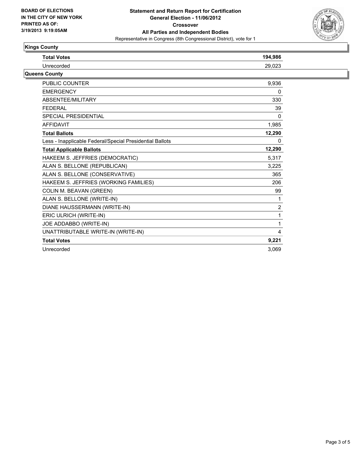

### **Kings County**

| <b>Total Votes</b>                                       | 194,986        |
|----------------------------------------------------------|----------------|
| Unrecorded                                               | 29,023         |
| Queens County                                            |                |
| <b>PUBLIC COUNTER</b>                                    | 9,936          |
| <b>EMERGENCY</b>                                         | 0              |
| <b>ABSENTFF/MILITARY</b>                                 | 330            |
| <b>FEDERAL</b>                                           | 39             |
| <b>SPECIAL PRESIDENTIAL</b>                              | $\Omega$       |
| <b>AFFIDAVIT</b>                                         | 1,985          |
| <b>Total Ballots</b>                                     | 12,290         |
| Less - Inapplicable Federal/Special Presidential Ballots | 0              |
| <b>Total Applicable Ballots</b>                          | 12,290         |
| HAKEEM S. JEFFRIES (DEMOCRATIC)                          | 5.317          |
| ALAN S. BELLONE (REPUBLICAN)                             | 3,225          |
| ALAN S. BELLONE (CONSERVATIVE)                           | 365            |
| HAKEEM S. JEFFRIES (WORKING FAMILIES)                    | 206            |
| COLIN M. BEAVAN (GREEN)                                  | 99             |
| ALAN S. BELLONE (WRITE-IN)                               | 1              |
| DIANE HAUSSERMANN (WRITE-IN)                             | $\overline{c}$ |
| ERIC ULRICH (WRITE-IN)                                   | $\mathbf{1}$   |
| JOE ADDABBO (WRITE-IN)                                   | 1              |
| UNATTRIBUTABLE WRITE-IN (WRITE-IN)                       | 4              |
| <b>Total Votes</b>                                       | 9,221          |
| Unrecorded                                               | 3,069          |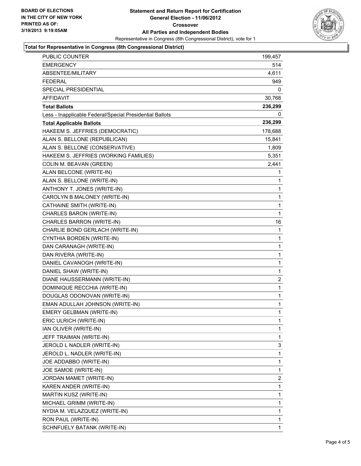

#### **Total for Representative in Congress (8th Congressional District)**

| PUBLIC COUNTER                                           | 199,457        |
|----------------------------------------------------------|----------------|
| EMERGENCY                                                | 514            |
| ABSENTEE/MILITARY                                        | 4,611          |
| <b>FEDERAL</b>                                           | 949            |
| SPECIAL PRESIDENTIAL                                     | 0              |
| <b>AFFIDAVIT</b>                                         | 30,768         |
| <b>Total Ballots</b>                                     | 236,299        |
| Less - Inapplicable Federal/Special Presidential Ballots | 0              |
| <b>Total Applicable Ballots</b>                          | 236,299        |
| HAKEEM S. JEFFRIES (DEMOCRATIC)                          | 178,688        |
| ALAN S. BELLONE (REPUBLICAN)                             | 15,841         |
| ALAN S. BELLONE (CONSERVATIVE)                           | 1,809          |
| HAKEEM S. JEFFRIES (WORKING FAMILIES)                    | 5,351          |
| COLIN M. BEAVAN (GREEN)                                  | 2,441          |
| ALAN BELCONE (WRITE-IN)                                  | 1              |
| ALAN S. BELLONE (WRITE-IN)                               | 1              |
| ANTHONY T. JONES (WRITE-IN)                              | 1              |
| CAROLYN B MALONEY (WRITE-IN)                             | 1              |
| CATHAINE SMITH (WRITE-IN)                                | 1              |
| CHARLES BARON (WRITE-IN)                                 | 1              |
| CHARLES BARRON (WRITE-IN)                                | 16             |
| CHARLIE BOND GERLACH (WRITE-IN)                          | 1              |
| CYNTHIA BORDEN (WRITE-IN)                                | 1              |
| DAN CARANAGH (WRITE-IN)                                  | 1              |
| DAN RIVERA (WRITE-IN)                                    | 1              |
| DANIEL CAVANOGH (WRITE-IN)                               | 1              |
| DANIEL SHAW (WRITE-IN)                                   | 1              |
| DIANE HAUSSERMANN (WRITE-IN)                             | $\overline{2}$ |
| DOMINIQUE RECCHIA (WRITE-IN)                             | 1              |
| DOUGLAS ODONOVAN (WRITE-IN)                              | 1              |
| EMAN ADULLAH JOHNSON (WRITE-IN)                          | 1              |
| EMERY GELBMAN (WRITE-IN)                                 | 1              |
| ERIC ULRICH (WRITE-IN)                                   | 1              |
| IAN OLIVER (WRITE-IN)                                    | 1              |
| JEFF TRAIMAN (WRITE-IN)                                  | 1              |
| JEROLD L NADLER (WRITE-IN)                               | 3              |
| JEROLD L. NADLER (WRITE-IN)                              | 1              |
| JOE ADDABBO (WRITE-IN)                                   | 1              |
| JOE SAMOE (WRITE-IN)                                     | 1              |
| JORDAN MAMET (WRITE-IN)                                  | $\overline{2}$ |
| KAREN ANDER (WRITE-IN)                                   | 1              |
| MARTIN KUSZ (WRITE-IN)                                   | 1              |
| MICHAEL GRIMM (WRITE-IN)                                 | 1              |
| NYDIA M. VELAZQUEZ (WRITE-IN)                            | 1              |
| RON PAUL (WRITE-IN)                                      | 1              |
| SCHNFUELY BATANK (WRITE-IN)                              | 1              |